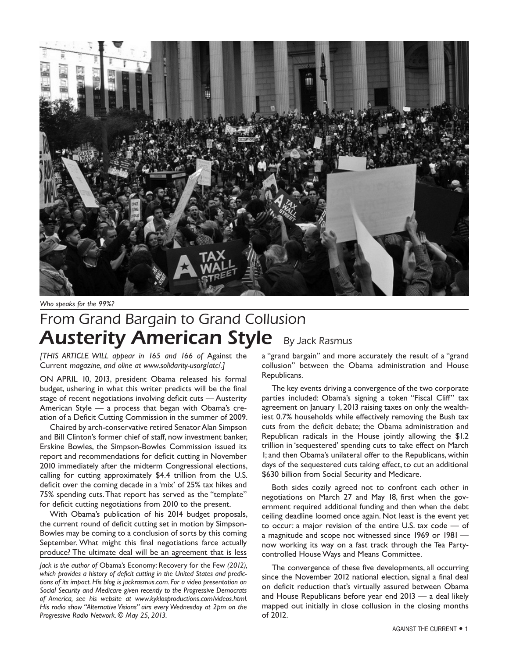

*Who speaks for the 99%?*

# From Grand Bargain to Grand Collusion **Austerity American Style By Jack Rasmus**

*[THIS ARTICLE WILL appear in 165 and 166 of* Against the Current *magazine, and oline at www.solidarity-usorg/atc/.]*

ON APRIL 10, 2013, president Obama released his formal budget, ushering in what this writer predicts will be the final stage of recent negotiations involving deficit cuts — Austerity American Style — a process that began with Obama's creation of a Deficit Cutting Commission in the summer of 2009.

Chaired by arch-conservative retired Senator Alan Simpson and Bill Clinton's former chief of staff, now investment banker, Erskine Bowles, the Simpson-Bowles Commission issued its report and recommendations for deficit cutting in November 2010 immediately after the midterm Congressional elections, calling for cutting approximately \$4.4 trillion from the U.S. deficit over the coming decade in a 'mix' of 25% tax hikes and 75% spending cuts. That report has served as the "template" for deficit cutting negotiations from 2010 to the present.

With Obama's publication of his 2014 budget proposals, the current round of deficit cutting set in motion by Simpson-Bowles may be coming to a conclusion of sorts by this coming September. What might this final negotiations farce actually produce? The ultimate deal will be an agreement that is less

*Jack is the author of* Obama's Economy: Recovery for the Few *(2012), which provides a history of deficit cutting in the United States and predictions of its impact. His blog is jackrasmus.com. For a video presentation on Social Security and Medicare given recently to the Progressive Democrats of America, see his website at www.kyklosproductions.com/videos.html. His radio show "Alternative Visions" airs every Wednesday at 2pm on the Progressive Radio Network. © May 25, 2013.*

a "grand bargain" and more accurately the result of a "grand collusion" between the Obama administration and House Republicans.

The key events driving a convergence of the two corporate parties included: Obama's signing a token "Fiscal Cliff" tax agreement on January 1, 2013 raising taxes on only the wealthiest 0.7% households while effectively removing the Bush tax cuts from the deficit debate; the Obama administration and Republican radicals in the House jointly allowing the \$1.2 trillion in 'sequestered' spending cuts to take effect on March 1; and then Obama's unilateral offer to the Republicans, within days of the sequestered cuts taking effect, to cut an additional \$630 billion from Social Security and Medicare.

Both sides cozily agreed not to confront each other in negotiations on March 27 and May 18, first when the government required additional funding and then when the debt ceiling deadline loomed once again. Not least is the event yet to occur: a major revision of the entire U.S. tax code — of a magnitude and scope not witnessed since 1969 or 1981 now working its way on a fast track through the Tea Partycontrolled House Ways and Means Committee.

The convergence of these five developments, all occurring since the November 2012 national election, signal a final deal on deficit reduction that's virtually assured between Obama and House Republicans before year end 2013 — a deal likely mapped out initially in close collusion in the closing months of 2012.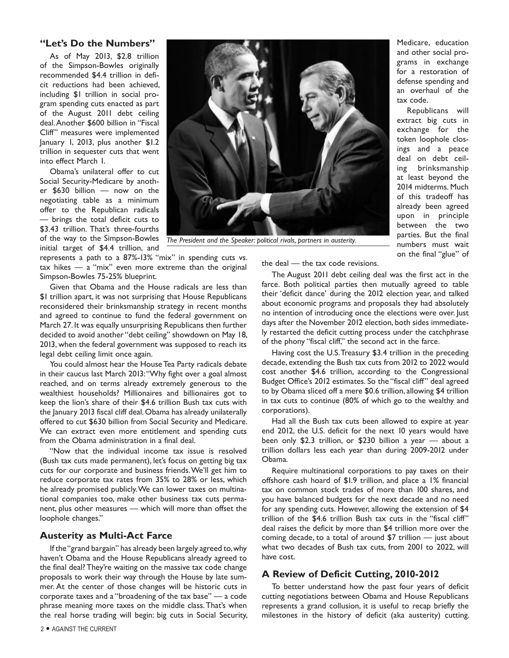# **"Let's Do the Numbers"**

As of May 2013, \$2.8 trillion of the Simpson-Bowles originally recommended \$4.4 trillion in deficit reductions had been achieved, including \$1 trillion in social program spending cuts enacted as part of the August 2011 debt ceiling deal. Another \$600 billion in "Fiscal Cliff" measures were implemented January 1, 2013, plus another \$1.2 trillion in sequester cuts that went into effect March 1.

Obama's unilateral offer to cut Social Security-Medicare by another \$630 billion — now on the negotiating table as a minimum offer to the Republican radicals — brings the total deficit cuts to \$3.43 trillion. That's three-fourths of the way to the Simpson-Bowles initial target of \$4.4 trillion, and

represents a path to a 87%-13% "mix" in spending cuts vs.  $tax$  hikes  $-$  a "mix" even more extreme than the original Simpson-Bowles 75-25% blueprint.

Given that Obama and the House radicals are less than \$1 trillion apart, it was not surprising that House Republicans reconsidered their brinksmanship strategy in recent months and agreed to continue to fund the federal government on March 27. It was equally unsurprising Republicans then further decided to avoid another "debt ceiling" showdown on May 18, 2013, when the federal government was supposed to reach its legal debt ceiling limit once again.

You could almost hear the House Tea Party radicals debate in their caucus last March 2013: "Why fight over a goal almost reached, and on terms already extremely generous to the wealthiest households? Millionaires and billionaires got to keep the lion's share of their \$4.6 trillion Bush tax cuts with the January 2013 fiscal cliff deal. Obama has already unilaterally offered to cut \$630 billion from Social Security and Medicare. We can extract even more entitlement and spending cuts from the Obama administration in a final deal.

"Now that the individual income tax issue is resolved (Bush tax cuts made permanent), let's focus on getting big tax cuts for our corporate and business friends. We'll get him to reduce corporate tax rates from 35% to 28% or less, which he already promised publicly. We can lower taxes on multinational companies too, make other business tax cuts permanent, plus other measures — which will more than offset the loophole changes."

# **Austerity as Multi-Act Farce**

If the "grand bargain" has already been largely agreed to, why haven't Obama and the House Republicans already agreed to the final deal? They're waiting on the massive tax code change proposals to work their way through the House by late summer. At the center of those changes will be historic cuts in corporate taxes and a "broadening of the tax base" — a code phrase meaning more taxes on the middle class. That's when the real horse trading will begin: big cuts in Social Security,





*The President and the Speaker: political rivals, partners in austerity.*

Medicare, education and other social programs in exchange for a restoration of defense spending and an overhaul of the tax code.

Republicans will extract big cuts in exchange for the token loophole closings and a peace deal on debt ceiling brinksmanship at least beyond the 2014 midterms. Much of this tradeoff has already been agreed upon in principle between the two parties. But the final numbers must wait on the final "glue" of

the deal — the tax code revisions.

The August 2011 debt ceiling deal was the first act in the farce. Both political parties then mutually agreed to table their 'deficit dance' during the 2012 election year, and talked about economic programs and proposals they had absolutely no intention of introducing once the elections were over. Just days after the November 2012 election, both sides immediately restarted the deficit cutting process under the catchphrase of the phony "fiscal cliff," the second act in the farce.

Having cost the U.S. Treasury \$3.4 trillion in the preceding decade, extending the Bush tax cuts from 2012 to 2022 would cost another \$4.6 trillion, according to the Congressional Budget Office's 2012 estimates. So the "fiscal cliff" deal agreed to by Obama sliced off a mere \$0.6 trillion, allowing \$4 trillion in tax cuts to continue (80% of which go to the wealthy and corporations).

Had all the Bush tax cuts been allowed to expire at year end 2012, the U.S. deficit for the next 10 years would have been only \$2.3 trillion, or \$230 billion a year — about a trillion dollars less each year than during 2009-2012 under Obama.

Require multinational corporations to pay taxes on their offshore cash hoard of \$1.9 trillion, and place a 1% financial tax on common stock trades of more than 100 shares, and you have balanced budgets for the next decade and no need for any spending cuts. However, allowing the extension of \$4 trillion of the \$4.6 trillion Bush tax cuts in the "fiscal cliff" deal raises the deficit by more than \$4 trillion more over the coming decade, to a total of around \$7 trillion — just about what two decades of Bush tax cuts, from 2001 to 2022, will have cost.

# **A Review of Deficit Cutting, 2010-2012**

To better understand how the past four years of deficit cutting negotiations between Obama and House Republicans represents a grand collusion, it is useful to recap briefly the milestones in the history of deficit (aka austerity) cutting.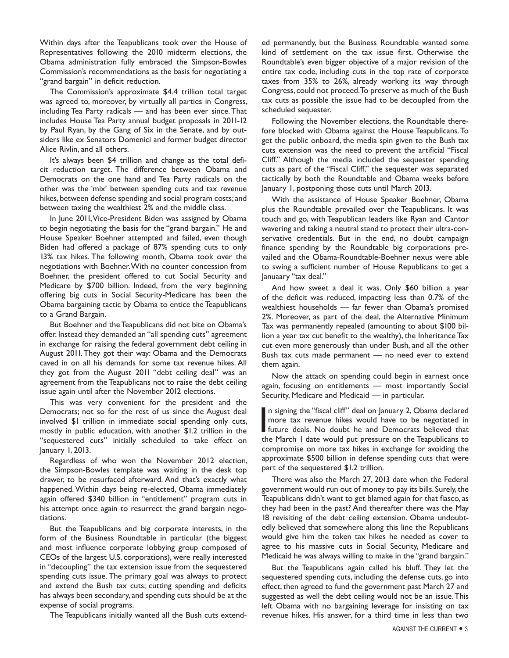Within days after the Teapublicans took over the House of Representatives following the 2010 midterm elections, the Obama administration fully embraced the Simpson-Bowles Commission's recommendations as the basis for negotiating a "grand bargain" in deficit reduction.

The Commission's approximate \$4.4 trillion total target was agreed to, moreover, by virtually all parties in Congress, including Tea Party radicals — and has been ever since. That includes House Tea Party annual budget proposals in 2011-12 by Paul Ryan, by the Gang of Six in the Senate, and by outsiders like ex Senators Domenici and former budget director Alice Rivlin, and all others.

It's always been \$4 trillion and change as the total deficit reduction target. The difference between Obama and Democrats on the one hand and Tea Party radicals on the other was the 'mix' between spending cuts and tax revenue hikes, between defense spending and social program costs; and between taxing the wealthiest 2% and the middle class.

In June 2011, Vice-President Biden was assigned by Obama to begin negotiating the basis for the "grand bargain." He and House Speaker Boehner attempted and failed, even though Biden had offered a package of 87% spending cuts to only 13% tax hikes. The following month, Obama took over the negotiations with Boehner. With no counter concession from Boehner, the president offered to cut Social Security and Medicare by \$700 billion. Indeed, from the very beginning offering big cuts in Social Security-Medicare has been the Obama bargaining tactic by Obama to entice the Teapublicans to a Grand Bargain.

But Boehner and the Teapublicans did not bite on Obama's offer. Instead they demanded an "all spending cuts" agreement in exchange for raising the federal government debt ceiling in August 2011. They got their way: Obama and the Democrats caved in on all his demands for some tax revenue hikes. All they got from the August 2011 "debt ceiling deal" was an agreement from the Teapublicans not to raise the debt ceiling issue again until after the November 2012 elections.

This was very convenient for the president and the Democrats; not so for the rest of us since the August deal involved \$1 trillion in immediate social spending only cuts, mostly in public education, with another \$1.2 trillion in the "sequestered cuts" initially scheduled to take effect on January 1, 2013.

Regardless of who won the November 2012 election, the Simpson-Bowles template was waiting in the desk top drawer, to be resurfaced afterward. And that's exactly what happened. Within days being re-elected, Obama immediately again offered \$340 billion in "entitlement" program cuts in his attempt once again to resurrect the grand bargain negotiations.

But the Teapublicans and big corporate interests, in the form of the Business Roundtable in particular (the biggest and most influence corporate lobbying group composed of CEOs of the largest U.S. corporations), were really interested in "decoupling" the tax extension issue from the sequestered spending cuts issue. The primary goal was always to protect and extend the Bush tax cuts; cutting spending and deficits has always been secondary, and spending cuts should be at the expense of social programs.

The Teapublicans initially wanted all the Bush cuts extend-

ed permanently, but the Business Roundtable wanted some kind of settlement on the tax issue first. Otherwise the Roundtable's even bigger objective of a major revision of the entire tax code, including cuts in the top rate of corporate taxes from 35% to 26%, already working its way through Congress, could not proceed. To preserve as much of the Bush tax cuts as possible the issue had to be decoupled from the scheduled sequester.

Following the November elections, the Roundtable therefore blocked with Obama against the House Teapublicans. To get the public onboard, the media spin given to the Bush tax cuts extension was the need to prevent the artificial "Fiscal Cliff." Although the media included the sequester spending cuts as part of the "Fiscal Cliff," the sequester was separated tactically by both the Roundtable and Obama weeks before January 1, postponing those cuts until March 2013.

With the assistance of House Speaker Boehner, Obama plus the Roundtable prevailed over the Teapublicans. It was touch and go, with Teapublican leaders like Ryan and Cantor wavering and taking a neutral stand to protect their ultra-conservative credentials. But in the end, no doubt campaign finance spending by the Roundtable big corporations prevailed and the Obama-Roundtable-Boehner nexus were able to swing a sufficient number of House Republicans to get a Januaary "tax deal."

And how sweet a deal it was. Only \$60 billion a year of the deficit was reduced, impacting less than 0.7% of the wealthiest households — far fewer than Obama's promised 2%. Moreover, as part of the deal, the Alternative Minimum Tax was permanently repealed (amounting to about \$100 billion a year tax cut benefit to the wealthy), the Inheritance Tax cut even more generously than under Bush, and all the other Bush tax cuts made permanent — no need ever to extend them again.

Now the attack on spending could begin in earnest once again, focusing on entitlements — most importantly Social Security, Medicare and Medicaid — in particular.

In signing the "fiscal cliff" deal on January 2, Obama declared<br>more tax revenue hikes would have to be negotiated in<br>future deals. No doubt he and Democrats believed that<br>the March 1 date would put pressure on the Teapubl n signing the "fiscal cliff" deal on January 2, Obama declared more tax revenue hikes would have to be negotiated in the March 1 date would put pressure on the Teapublicans to compromise on more tax hikes in exchange for avoiding the approximate \$500 billion in defense spending cuts that were part of the sequestered \$1.2 trillion.

There was also the March 27, 2013 date when the Federal government would run out of money to pay its bills. Surely, the Teapublicans didn't want to get blamed again for that fiasco, as they had been in the past? And thereafter there was the May 18 revisiting of the debt ceiling extension. Obama undoubtedly believed that somewhere along this line the Republicans would give him the token tax hikes he needed as cover to agree to his massive cuts in Social Security, Medicare and Medicaid he was always willing to make in the "grand bargain."

But the Teapublicans again called his bluff. They let the sequestered spending cuts, including the defense cuts, go into effect, then agreed to fund the government past March 27 and suggested as well the debt ceiling would not be an issue. This left Obama with no bargaining leverage for insisting on tax revenue hikes. His answer, for a third time in less than two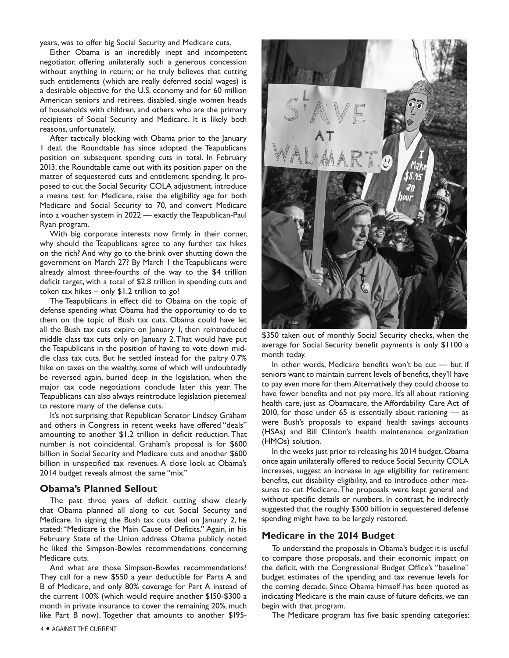years, was to offer big Social Security and Medicare cuts.

Either Obama is an incredibly inept and incompetent negotiator, offering unilaterally such a generous concession without anything in return; or he truly believes that cutting such entitlements (which are really deferred social wages) is a desirable objective for the U.S. economy and for 60 million American seniors and retirees, disabled, single women heads of households with children, and others who are the primary recipients of Social Security and Medicare. It is likely both reasons, unfortunately.

After tactically blocking with Obama prior to the January 1 deal, the Roundtable has since adopted the Teapublicans position on subsequent spending cuts in total. In February 2013, the Roundtable came out with its position paper on the matter of sequestered cuts and entitlement spending. It proposed to cut the Social Security COLA adjustment, introduce a means test for Medicare, raise the eligibility age for both Medicare and Social Security to 70, and convert Medicare into a voucher system in 2022 — exactly the Teapublican-Paul Ryan program.

With big corporate interests now firmly in their corner, why should the Teapublicans agree to any further tax hikes on the rich? And why go to the brink over shutting down the government on March 27? By March 1 the Teapublicans were already almost three-fourths of the way to the \$4 trillion deficit target, with a total of \$2.8 trillion in spending cuts and token tax hikes – only \$1.2 trillion to go!

The Teapublicans in effect did to Obama on the topic of defense spending what Obama had the opportunity to do to them on the topic of Bush tax cuts. Obama could have let all the Bush tax cuts expire on January 1, then reintroduced middle class tax cuts only on January 2. That would have put the Teapublicans in the position of having to vote down middle class tax cuts. But he settled instead for the paltry 0.7% hike on taxes on the wealthy, some of which will undoubtedly be reversed again, buried deep in the legislation, when the major tax code negotiations conclude later this year. The Teapublicans can also always reintroduce legislation piecemeal to restore many of the defense cuts.

It's not surprising that Republican Senator Lindsey Graham and others in Congress in recent weeks have offered "deals" amounting to another \$1.2 trillion in deficit reduction. That number is not coincidental. Graham's proposal is for \$600 billion in Social Security and Medicare cuts and another \$600 billion in unspecified tax revenues. A close look at Obama's 2014 budget reveals almost the same "mix."

#### **Obama's Planned Sellout**

The past three years of deficit cutting show clearly that Obama planned all along to cut Social Security and Medicare. In signing the Bush tax cuts deal on January 2, he stated: "Medicare is the Main Cause of Deficits." Again, in his February State of the Union address Obama publicly noted he liked the Simpson-Bowles recommendations concerning Medicare cuts.

And what are those Simpson-Bowles recommendations? They call for a new \$550 a year deductible for Parts A and B of Medicare, and only 80% coverage for Part A instead of the current 100% (which would require another \$150-\$300 a month in private insurance to cover the remaining 20%, much like Part B now). Together that amounts to another \$195-



\$350 taken out of monthly Social Security checks, when the average for Social Security benefit payments is only \$1100 a month today.

In other words, Medicare benefits won't be cut — but if seniors want to maintain current levels of benefits, they'll have to pay even more for them. Alternatively they could choose to have fewer benefits and not pay more. It's all about rationing health care, just as Obamacare, the Affordability Care Act of 2010, for those under 65 is essentially about rationing — as were Bush's proposals to expand health savings accounts (HSAs) and Bill Clinton's health maintenance organization (HMOs) solution.

In the weeks just prior to releasing his 2014 budget, Obama once again unilaterally offered to reduce Social Security COLA increases, suggest an increase in age eligibility for retirement benefits, cut disability eligibility, and to introduce other measures to cut Medicare. The proposals were kept general and without specific details or numbers. In contrast, he indirectly suggested that the roughly \$500 billion in sequestered defense spending might have to be largely restored.

#### **Medicare in the 2014 Budget**

To understand the proposals in Obama's budget it is useful to compare those proposals, and their economic impact on the deficit, with the Congressional Budget Office's "baseline" budget estimates of the spending and tax revenue levels for the coming decade. Since Obama himself has been quoted as indicating Medicare is the main cause of future deficits, we can begin with that program.

The Medicare program has five basic spending categories: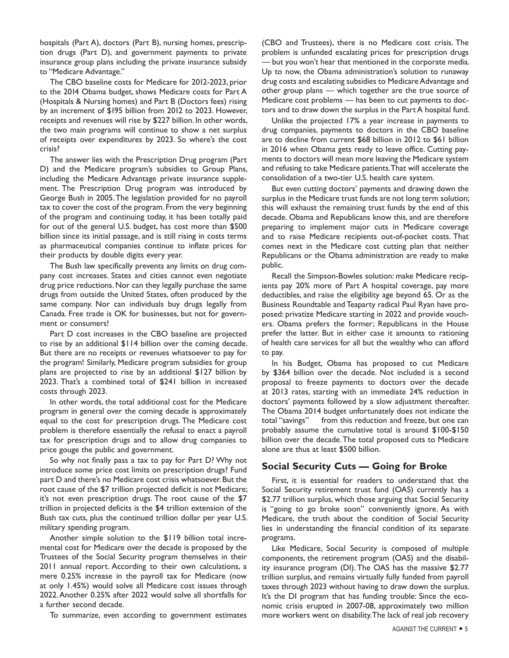hospitals (Part A), doctors (Part B), nursing homes, prescription drugs (Part D), and government payments to private insurance group plans including the private insurance subsidy to "Medicare Advantage."

The CBO baseline costs for Medicare for 2012-2023, prior to the 2014 Obama budget, shows Medicare costs for Part A (Hospitals & Nursing homes) and Part B (Doctors fees) rising by an increment of \$195 billion from 2012 to 2023. However, receipts and revenues will rise by \$227 billion. In other words, the two main programs will continue to show a net surplus of receipts over expenditures by 2023. So where's the cost crisis?

The answer lies with the Prescription Drug program (Part D) and the Medicare program's subsidies to Group Plans, including the Medicare Advantage private insurance supplement. The Prescription Drug program was introduced by George Bush in 2005. The legislation provided for no payroll tax to cover the cost of the program. From the very beginning of the program and continuing today, it has been totally paid for out of the general U.S. budget, has cost more than \$500 billion since its initial passage, and is still rising in costs terms as pharmaceutical companies continue to inflate prices for their products by double digits every year.

The Bush law specifically prevents any limits on drug company cost increases. States and cities cannot even negotiate drug price reductions. Nor can they legally purchase the same drugs from outside the United States, often produced by the same company. Nor can individuals buy drugs legally from Canada. Free trade is OK for businesses, but not for government or consumers!

Part D cost increases in the CBO baseline are projected to rise by an additional \$114 billion over the coming decade. But there are no receipts or revenues whatsoever to pay for the program! Similarly, Medicare program subsidies for group plans are projected to rise by an additional \$127 billion by 2023. That's a combined total of \$241 billion in increased costs through 2023.

In other words, the total additional cost for the Medicare program in general over the coming decade is approximately equal to the cost for prescription drugs. The Medicare cost problem is therefore essentially the refusal to enact a payroll tax for prescription drugs and to allow drug companies to price gouge the public and government.

So why not finally pass a tax to pay for Part D? Why not introduce some price cost limits on prescription drugs? Fund part D and there's no Medicare cost crisis whatsoever. But the root cause of the \$7 trillion projected deficit is not Medicare; it's not even prescription drugs. The root cause of the \$7 trillion in projected deficits is the \$4 trillion extension of the Bush tax cuts, plus the continued trillion dollar per year U.S. military spending program.

Another simple solution to the \$119 billion total incremental cost for Medicare over the decade is proposed by the Trustees of the Social Security program themselves in their 2011 annual report. According to their own calculations, a mere 0.25% increase in the payroll tax for Medicare (now at only 1.45%) would solve all Medicare cost issues through 2022. Another 0.25% after 2022 would solve all shortfalls for a further second decade.

To summarize, even according to government estimates

(CBO and Trustees), there is no Medicare cost crisis. The problem is unfunded escalating prices for prescription drugs — but you won't hear that mentioned in the corporate media. Up to now, the Obama administration's solution to runaway drug costs and escalating subsidies to Medicare Advantage and other group plans — which together are the true source of Medicare cost problems — has been to cut payments to doctors and to draw down the surplus in the Part A hospital fund.

Unlike the projected 17% a year increase in payments to drug companies, payments to doctors in the CBO baseline are to decline from current \$68 billion in 2012 to \$61 billion in 2016 when Obama gets ready to leave office. Cutting payments to doctors will mean more leaving the Medicare system and refusing to take Medicare patients. That will accelerate the consolidation of a two-tier U.S. health care system.

But even cutting doctors' payments and drawing down the surplus in the Medicare trust funds are not long term solution; this will exhaust the remaining trust funds by the end of this decade. Obama and Republicans know this, and are therefore preparing to implement major cuts in Medicare coverage and to raise Medicare recipients out-of-pocket costs. That comes next in the Medicare cost cutting plan that neither Republicans or the Obama administration are ready to make public.

Recall the Simpson-Bowles solution: make Medicare recipients pay 20% more of Part A hospital coverage, pay more deductibles, and raise the eligibility age beyond 65. Or as the Business Roundtable and Teaparty radical Paul Ryan have proposed: privatize Medicare starting in 2022 and provide vouchers. Obama prefers the former; Republicans in the House prefer the latter. But in either case it amounts to rationing of health care services for all but the wealthy who can afford to pay.

In his Budget, Obama has proposed to cut Medicare by \$364 billion over the decade. Not included is a second proposal to freeze payments to doctors over the decade at 2013 rates, starting with an immediate 24% reduction in doctors' payments followed by a slow adjustment thereafter. The Obama 2014 budget unfortunately does not indicate the total "savings" from this reduction and freeze, but one can probably assume the cumulative total is around \$100-\$150 billion over the decade. The total proposed cuts to Medicare alone are thus at least \$500 billion.

# **Social Security Cuts — Going for Broke**

First, it is essential for readers to understand that the Social Security retirement trust fund (OAS) currently has a \$2.77 trillion surplus, which those arguing that Social Security is "going to go broke soon" conveniently ignore. As with Medicare, the truth about the condition of Social Security lies in understanding the financial condition of its separate programs.

Like Medicare, Social Security is composed of multiple components, the retirement program (OAS) and the disability insurance program (DI). The OAS has the massive \$2.77 trillion surplus, and remains virtually fully funded from payroll taxes through 2023 without having to draw down the surplus. It's the DI program that has funding trouble: Since the economic crisis erupted in 2007-08, approximately two million more workers went on disability. The lack of real job recovery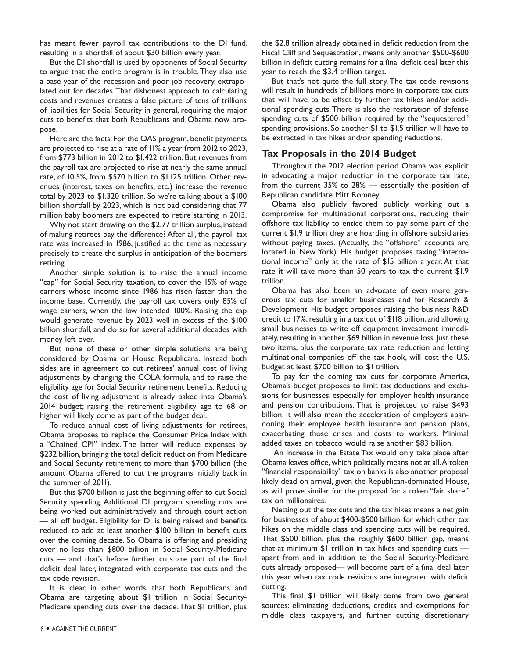has meant fewer payroll tax contributions to the DI fund, resulting in a shortfall of about \$30 billion every year.

But the DI shortfall is used by opponents of Social Security to argue that the entire program is in trouble. They also use a base year of the recession and poor job recovery, extrapolated out for decades. That dishonest approach to calculating costs and revenues creates a false picture of tens of trillions of liabilities for Social Security in general, requiring the major cuts to benefits that both Republicans and Obama now propose.

Here are the facts: For the OAS program, benefit payments are projected to rise at a rate of 11% a year from 2012 to 2023, from \$773 billion in 2012 to \$1.422 trillion. But revenues from the payroll tax are projected to rise at nearly the same annual rate, of 10.5%, from \$570 billion to \$1.125 trillion. Other revenues (interest, taxes on benefits, etc.) increase the revenue total by 2023 to \$1.320 trillion. So we're talking about a \$100 billion shortfall by 2023, which is not bad considering that 77 million baby boomers are expected to retire starting in 2013.

Why not start drawing on the \$2.77 trillion surplus, instead of making retirees pay the difference? After all, the payroll tax rate was increased in 1986, justified at the time as necessary precisely to create the surplus in anticipation of the boomers retiring.

Another simple solution is to raise the annual income "cap" for Social Security taxation, to cover the 15% of wage earners whose income since 1986 has risen faster than the income base. Currently, the payroll tax covers only 85% of wage earners, when the law intended 100%. Raising the cap would generate revenue by 2023 well in excess of the \$100 billion shortfall, and do so for several additional decades with money left over.

But none of these or other simple solutions are being considered by Obama or House Republicans. Instead both sides are in agreement to cut retirees' annual cost of living adjustments by changing the COLA formula, and to raise the eligibility age for Social Security retirement benefits. Reducing the cost of living adjustment is already baked into Obama's 2014 budget; raising the retirement eligibility age to 68 or higher will likely come as part of the budget deal.

To reduce annual cost of living adjustments for retirees, Obama proposes to replace the Consumer Price Index with a "Chained CPI" index. The latter will reduce expenses by \$232 billion, bringing the total deficit reduction from Medicare and Social Security retirement to more than \$700 billion (the amount Obama offered to cut the programs initially back in the summer of 2011).

But this \$700 billion is just the beginning offer to cut Social Security spending. Additional DI program spending cuts are being worked out administratively and through court action — all off budget. Eligibility for DI is being raised and benefits reduced, to add at least another \$100 billion in benefit cuts over the coming decade. So Obama is offering and presiding over no less than \$800 billion in Social Security-Medicare cuts — and that's before further cuts are part of the final deficit deal later, integrated with corporate tax cuts and the tax code revision.

It is clear, in other words, that both Republicans and Obama are targeting about \$1 trillion in Social Security-Medicare spending cuts over the decade. That \$1 trillion, plus

the \$2.8 trillion already obtained in deficit reduction from the Fiscal Cliff and Sequestration, means only another \$500-\$600 billion in deficit cutting remains for a final deficit deal later this year to reach the \$3.4 trillion target.

But that's not quite the full story. The tax code revisions will result in hundreds of billions more in corporate tax cuts that will have to be offset by further tax hikes and/or additional spending cuts. There is also the restoration of defense spending cuts of \$500 billion required by the "sequestered" spending provisions. So another \$1 to \$1.5 trillion will have to be extracted in tax hikes and/or spending reductions.

# **Tax Proposals in the 2014 Budget**

Throughout the 2012 election period Obama was explicit in advocating a major reduction in the corporate tax rate, from the current 35% to 28% — essentially the position of Republican candidate Mitt Romney.

Obama also publicly favored publicly working out a compromise for multinational corporations, reducing their offshore tax liability to entice them to pay some part of the current \$1.9 trillion they are hoarding in offshore subsidiaries without paying taxes. (Actually, the "offshore" accounts are located in New York). His budget proposes taxing "international income" only at the rate of \$15 billion a year. At that rate it will take more than 50 years to tax the current \$1.9 trillion.

Obama has also been an advocate of even more generous tax cuts for smaller businesses and for Research & Development. His budget proposes raising the business R&D credit to 17%, resulting in a tax cut of \$118 billion, and allowing small businesses to write off equipment investment immediately, resulting in another \$69 billion in revenue loss. Just these two items, plus the corporate tax rate reduction and letting multinational companies off the tax hook, will cost the U.S. budget at least \$700 billion to \$1 trillion.

To pay for the coming tax cuts for corporate America, Obama's budget proposes to limit tax deductions and exclusions for businesses, especially for employer health insurance and pension contributions. That is projected to raise \$493 billion. It will also mean the acceleration of employers abandoning their employee health insurance and pension plans, exacerbating those crises and costs to workers. Minimal added taxes on tobacco would raise another \$83 billion.

 An increase in the Estate Tax would only take place after Obama leaves office, which politically means not at all. A token "financial responsibility" tax on banks is also another proposal likely dead on arrival, given the Republican-dominated House, as will prove similar for the proposal for a token "fair share" tax on millionaires.

Netting out the tax cuts and the tax hikes means a net gain for businesses of about \$400-\$500 billion, for which other tax hikes on the middle class and spending cuts will be required. That \$500 billion, plus the roughly \$600 billion gap, means that at minimum \$1 trillion in tax hikes and spending cuts apart from and in addition to the Social Security-Medicare cuts already proposed— will become part of a final deal later this year when tax code revisions are integrated with deficit cutting.

This final \$1 trillion will likely come from two general sources: eliminating deductions, credits and exemptions for middle class taxpayers, and further cutting discretionary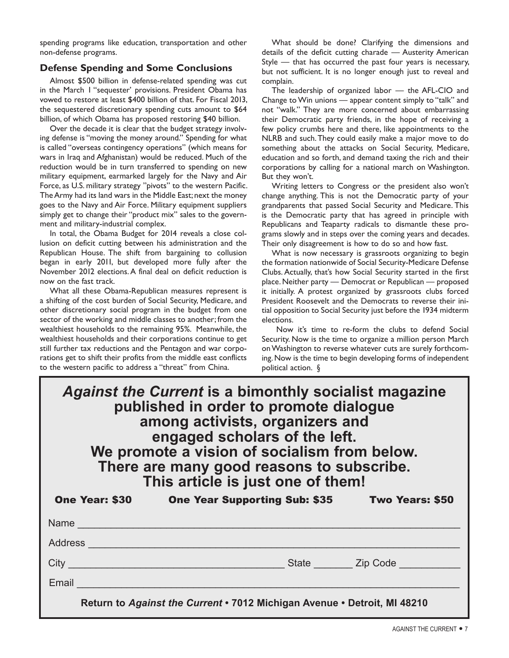spending programs like education, transportation and other non-defense programs.

# **Defense Spending and Some Conclusions**

Almost \$500 billion in defense-related spending was cut in the March 1 "sequester' provisions. President Obama has vowed to restore at least \$400 billion of that. For Fiscal 2013, the sequestered discretionary spending cuts amount to \$64 billion, of which Obama has proposed restoring \$40 billion.

Over the decade it is clear that the budget strategy involving defense is "moving the money around." Spending for what is called "overseas contingency operations" (which means for wars in Iraq and Afghanistan) would be reduced. Much of the reduction would be in turn transferred to spending on new military equipment, earmarked largely for the Navy and Air Force, as U.S. military strategy "pivots" to the western Pacific. The Army had its land wars in the Middle East; next the money goes to the Navy and Air Force. Military equipment suppliers simply get to change their "product mix" sales to the government and military-industrial complex.

In total, the Obama Budget for 2014 reveals a close collusion on deficit cutting between his administration and the Republican House. The shift from bargaining to collusion began in early 2011, but developed more fully after the November 2012 elections. A final deal on deficit reduction is now on the fast track.

What all these Obama-Republican measures represent is a shifting of the cost burden of Social Security, Medicare, and other discretionary social program in the budget from one sector of the working and middle classes to another; from the wealthiest households to the remaining 95%. Meanwhile, the wealthiest households and their corporations continue to get still further tax reductions and the Pentagon and war corporations get to shift their profits from the middle east conflicts to the western pacific to address a "threat" from China.

What should be done? Clarifying the dimensions and details of the deficit cutting charade — Austerity American Style — that has occurred the past four years is necessary, but not sufficient. It is no longer enough just to reveal and complain.

The leadership of organized labor — the AFL-CIO and Change to Win unions — appear content simply to "talk" and not "walk." They are more concerned about embarrassing their Democratic party friends, in the hope of receiving a few policy crumbs here and there, like appointments to the NLRB and such. They could easily make a major move to do something about the attacks on Social Security, Medicare, education and so forth, and demand taxing the rich and their corporations by calling for a national march on Washington. But they won't.

Writing letters to Congress or the president also won't change anything. This is not the Democratic party of your grandparents that passed Social Security and Medicare. This is the Democratic party that has agreed in principle with Republicans and Teaparty radicals to dismantle these programs slowly and in steps over the coming years and decades. Their only disagreement is how to do so and how fast.

What is now necessary is grassroots organizing to begin the formation nationwide of Social Security-Medicare Defense Clubs. Actually, that's how Social Security started in the first place. Neither party — Democrat or Republican — proposed it initially. A protest organized by grassroots clubs forced President Roosevelt and the Democrats to reverse their initial opposition to Social Security just before the 1934 midterm elections.

 Now it's time to re-form the clubs to defend Social Security. Now is the time to organize a million person March on Washington to reverse whatever cuts are surely forthcoming. Now is the time to begin developing forms of independent political action. §

| Against the Current is a bimonthly socialist magazine<br>published in order to promote dialogue<br>among activists, organizers and<br>engaged scholars of the left.<br>We promote a vision of socialism from below.<br>There are many good reasons to subscribe.<br>This article is just one of them! |                                                                          |                                |
|-------------------------------------------------------------------------------------------------------------------------------------------------------------------------------------------------------------------------------------------------------------------------------------------------------|--------------------------------------------------------------------------|--------------------------------|
| <b>One Year: \$30</b>                                                                                                                                                                                                                                                                                 | One Year Supporting Sub: \$35 Two Years: \$50                            |                                |
| <b>Name</b>                                                                                                                                                                                                                                                                                           |                                                                          |                                |
| Address                                                                                                                                                                                                                                                                                               |                                                                          |                                |
| $City$ <sub>_________</sub>                                                                                                                                                                                                                                                                           |                                                                          | State ________ Zip Code ______ |
| Email                                                                                                                                                                                                                                                                                                 |                                                                          |                                |
|                                                                                                                                                                                                                                                                                                       | Return to Against the Current . 7012 Michigan Avenue . Detroit, MI 48210 |                                |